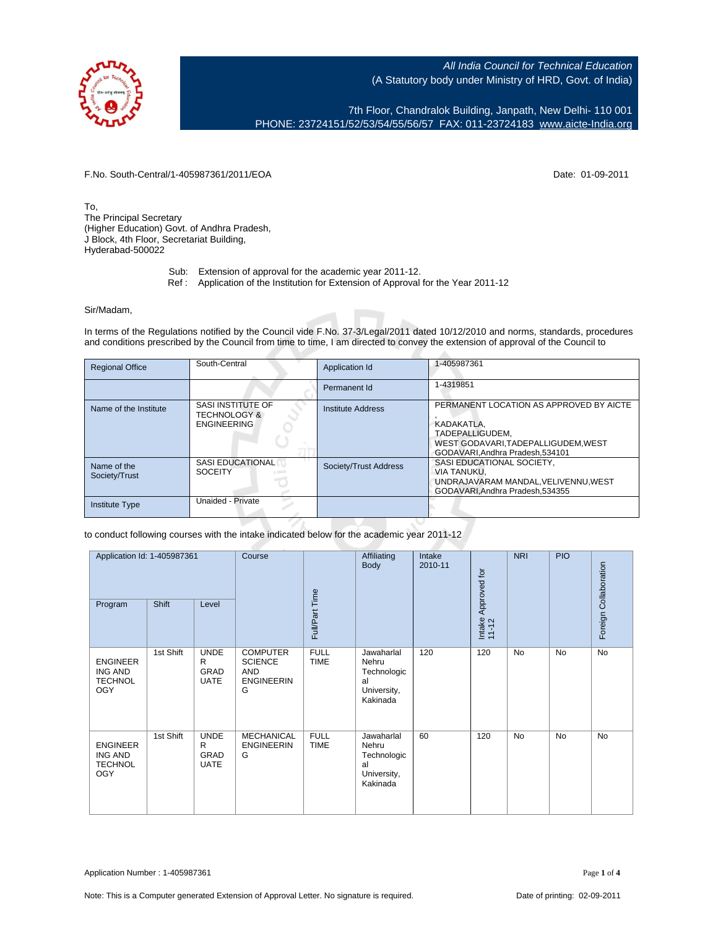7th Floor, Chandralok Building, Janpath, New Delhi- 110 001 PHONE: 23724151/52/53/54/55/56/57 FAX: 011-23724183 [www.aicte-India.org](http://www.aicte-India.org)

F.No. South-Central/1-405987361/2011/EOA Date: 01-09-2011

To, The Principal Secretary (Higher Education) Govt. of Andhra Pradesh, J Block, 4th Floor, Secretariat Building, Hyderabad-500022

- Sub: Extension of approval for the academic year 2011-12.
- Ref : Application of the Institution for Extension of Approval for the Year 2011-12

## Sir/Madam,

In terms of the Regulations notified by the Council vide F.No. 37-3/Legal/2011 dated 10/12/2010 and norms, standards, procedures and conditions prescribed by the Council from time to time, I am directed to convey the extension of approval of the Council to

| <b>Regional Office</b>       | South-Central                                                      | Application Id        | 1-405987361                                                                                                                                     |
|------------------------------|--------------------------------------------------------------------|-----------------------|-------------------------------------------------------------------------------------------------------------------------------------------------|
|                              |                                                                    | Permanent Id          | 1-4319851                                                                                                                                       |
| Name of the Institute        | SASI INSTITUTE OF<br><b>TECHNOLOGY &amp;</b><br><b>ENGINEERING</b> | Institute Address     | PERMANENT LOCATION AS APPROVED BY AICTE<br>KADAKATLA.<br>TADEPALLIGUDEM.<br>WEST GODAVARI.TADEPALLIGUDEM.WEST<br>GODAVARI.Andhra Pradesh.534101 |
| Name of the<br>Society/Trust | <b>SASI EDUCATIONAL</b><br><b>SOCEITY</b>                          | Society/Trust Address | SASI EDUCATIONAL SOCIETY,<br><b>VIA TANUKU.</b><br>UNDRAJAVARAM MANDAL. VELIVENNU. WEST<br>GODAVARI.Andhra Pradesh.534355                       |
| <b>Institute Type</b>        | Unaided - Private                                                  |                       |                                                                                                                                                 |

## to conduct following courses with the intake indicated below for the academic year 2011-12

| Application Id: 1-405987361<br>Shift<br>Level<br>Program          |           | Course                                  | Full/Part Time                                                            | Affiliating<br><b>Body</b> | Intake<br>2010-11                                                   | Approved for<br>Intake | <b>NRI</b> | <b>PIO</b> | Foreign Collaboration |           |
|-------------------------------------------------------------------|-----------|-----------------------------------------|---------------------------------------------------------------------------|----------------------------|---------------------------------------------------------------------|------------------------|------------|------------|-----------------------|-----------|
| <b>ENGINEER</b><br><b>ING AND</b><br><b>TECHNOL</b><br><b>OGY</b> | 1st Shift | <b>UNDE</b><br>R<br>GRAD<br><b>UATE</b> | <b>COMPUTER</b><br><b>SCIENCE</b><br><b>AND</b><br><b>ENGINEERIN</b><br>G | <b>FULL</b><br><b>TIME</b> | Jawaharlal<br>Nehru<br>Technologic<br>al<br>University,<br>Kakinada | 120                    | 120        | <b>No</b>  | No                    | <b>No</b> |
| <b>ENGINEER</b><br><b>ING AND</b><br><b>TECHNOL</b><br><b>OGY</b> | 1st Shift | <b>UNDE</b><br>R<br>GRAD<br><b>UATE</b> | MECHANICAL<br><b>ENGINEERIN</b><br>G                                      | <b>FULL</b><br><b>TIME</b> | Jawaharlal<br>Nehru<br>Technologic<br>al<br>University,<br>Kakinada | 60                     | 120        | No         | No                    | No        |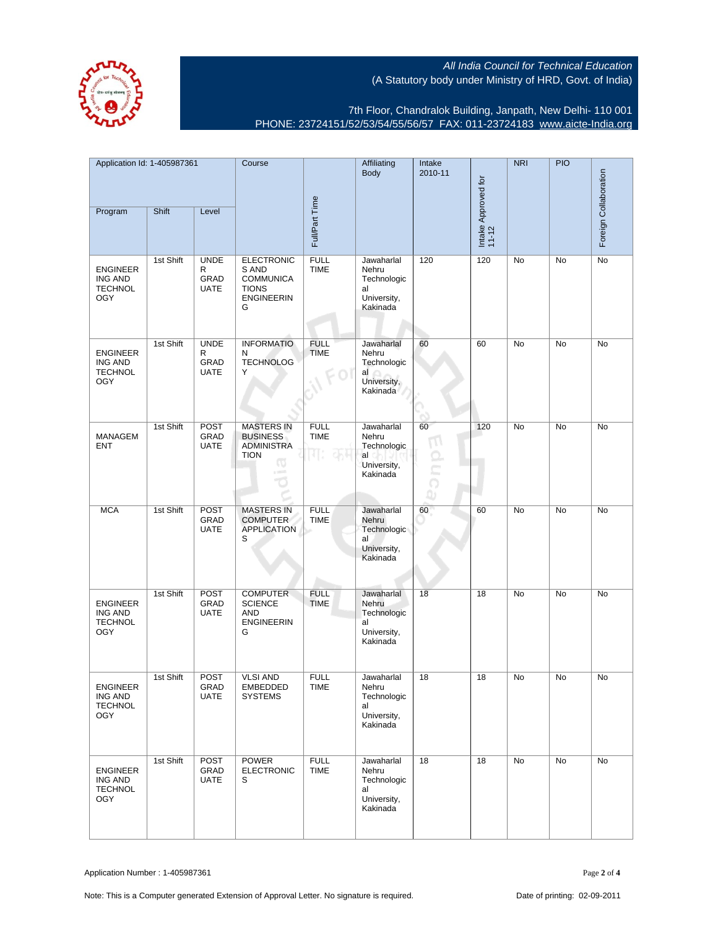

7th Floor, Chandralok Building, Janpath, New Delhi- 110 001 PHONE: 23724151/52/53/54/55/56/57 FAX: 011-23724183 [www.aicte-India.org](http://www.aicte-India.org)

| Application Id: 1-405987361                                       |           | Course                                  |                                                                                          | Affiliating<br>Body               | Intake<br>2010-11                                                   |                            | <b>NRI</b>                   | <b>PIO</b> | Foreign Collaboration |    |
|-------------------------------------------------------------------|-----------|-----------------------------------------|------------------------------------------------------------------------------------------|-----------------------------------|---------------------------------------------------------------------|----------------------------|------------------------------|------------|-----------------------|----|
| Program                                                           | Shift     | Level                                   |                                                                                          | Full/Part Time                    |                                                                     |                            | Intake Approved for<br>11-12 |            |                       |    |
| <b>ENGINEER</b><br>ING AND<br><b>TECHNOL</b><br><b>OGY</b>        | 1st Shift | <b>UNDE</b><br>R<br>GRAD<br><b>UATE</b> | <b>ELECTRONIC</b><br>S AND<br><b>COMMUNICA</b><br><b>TIONS</b><br><b>ENGINEERIN</b><br>G | <b>FULL</b><br><b>TIME</b>        | Jawaharlal<br>Nehru<br>Technologic<br>al<br>University,<br>Kakinada | 120                        | 120                          | No         | No                    | No |
| <b>ENGINEER</b><br>ING AND<br><b>TECHNOL</b><br><b>OGY</b>        | 1st Shift | <b>UNDE</b><br>R<br>GRAD<br><b>UATE</b> | <b>INFORMATIO</b><br>N<br><b>TECHNOLOG</b><br>Υ                                          | <b>FULL</b><br><b>TIME</b>        | Jawaharlal<br>Nehru<br>Technologic<br>al<br>University,<br>Kakinada | 60                         | 60                           | No         | No                    | No |
| <b>MANAGEM</b><br><b>ENT</b>                                      | 1st Shift | <b>POST</b><br>GRAD<br><b>UATE</b>      | <b>MASTERS IN</b><br><b>BUSINESS</b><br><b>ADMINISTRA</b><br><b>TION</b><br>Φ<br>$=$     | <b>FULL</b><br><b>TIME</b><br>45f | Jawaharlal<br>Nehru<br>Technologic<br>al<br>University,<br>Kakinada | 60<br>$\overline{1}$<br>Ωı | 120                          | No         | No                    | No |
| <b>MCA</b>                                                        | 1st Shift | POST<br>GRAD<br><b>UATE</b>             | <b>MASTERS IN</b><br><b>COMPUTER</b><br><b>APPLICATION</b><br>S                          | <b>FULL</b><br><b>TIME</b>        | Jawaharlal<br>Nehru<br>Technologic<br>al<br>University,<br>Kakinada | 60                         | 60                           | <b>No</b>  | <b>No</b>             | No |
| <b>ENGINEER</b><br><b>ING AND</b><br><b>TECHNOL</b><br><b>OGY</b> | 1st Shift | <b>POST</b><br>GRAD<br><b>UATE</b>      | <b>COMPUTER</b><br><b>SCIENCE</b><br><b>AND</b><br><b>ENGINEERIN</b><br>G                | <b>FULL</b><br><b>TIME</b>        | Jawaharlal<br>Nehru<br>Technologic<br>al<br>University,<br>Kakinada | 18                         | 18                           | No         | No                    | No |
| ENGINEER<br>ING AND<br><b>TECHNOL</b><br><b>OGY</b>               | 1st Shift | <b>POST</b><br>GRAD<br><b>UATE</b>      | <b>VLSI AND</b><br>EMBEDDED<br><b>SYSTEMS</b>                                            | <b>FULL</b><br>TIME               | Jawaharlal<br>Nehru<br>Technologic<br>al<br>University,<br>Kakinada | 18                         | 18                           | No         | No                    | No |
| <b>ENGINEER</b><br>ING AND<br><b>TECHNOL</b><br><b>OGY</b>        | 1st Shift | POST<br>GRAD<br><b>UATE</b>             | <b>POWER</b><br><b>ELECTRONIC</b><br>S                                                   | <b>FULL</b><br><b>TIME</b>        | Jawaharlal<br>Nehru<br>Technologic<br>al<br>University,<br>Kakinada | 18                         | 18                           | No         | No                    | No |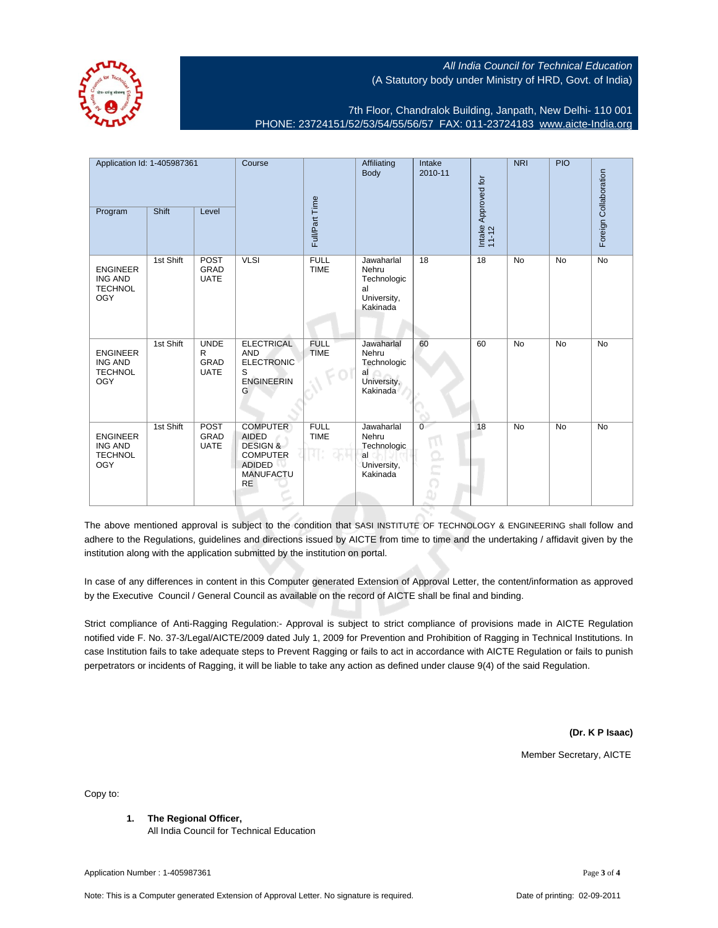

7th Floor, Chandralok Building, Janpath, New Delhi- 110 001 PHONE: 23724151/52/53/54/55/56/57 FAX: 011-23724183 [www.aicte-India.org](http://www.aicte-India.org)

Application Id: 1-405987361 Course **Affiliating** NRI PIO Intake Body 2010-11 Collaboration Foreign Collaboration Intake Approved for Intake Approved for<br>11-12 Full/Part Time Program Shift Level Foreign ( 1st Shift POST VLSI FULL Jawaharlal 18 18 No No No GRAD TIME Nehru ENGINEER ING AND UATE Technologic **TECHNOL** al University, **OGY** Kakinada 1st Shift UNDE **ELECTRICAL** FULL **Jawaharlal** 60 60 No No No R AND TIME Nehru ENGINEER GRAD ELECTRONIC ING AND Technologic **TECHNOL** UATE al S OGY ENGINEERIN University, G Kakinada 1st Shift POST **COMPUTER** FULL Jawaharlal 0 18 No No No GRAD AIDED TIME Nehru ENGINEER ING AND UATE DESIGN & Technologic **TECHNOL** COMPUTER al OGY ADIDED University, **MANUFACTU** Kakinada RE

The above mentioned approval is subject to the condition that SASI INSTITUTE OF TECHNOLOGY & ENGINEERING shall follow and adhere to the Regulations, guidelines and directions issued by AICTE from time to time and the undertaking / affidavit given by the institution along with the application submitted by the institution on portal.

In case of any differences in content in this Computer generated Extension of Approval Letter, the content/information as approved by the Executive Council / General Council as available on the record of AICTE shall be final and binding.

Strict compliance of Anti-Ragging Regulation:- Approval is subject to strict compliance of provisions made in AICTE Regulation notified vide F. No. 37-3/Legal/AICTE/2009 dated July 1, 2009 for Prevention and Prohibition of Ragging in Technical Institutions. In case Institution fails to take adequate steps to Prevent Ragging or fails to act in accordance with AICTE Regulation or fails to punish perpetrators or incidents of Ragging, it will be liable to take any action as defined under clause 9(4) of the said Regulation.

**(Dr. K P Isaac)**

Member Secretary, AICTE

Copy to:

**1. The Regional Officer,**

All India Council for Technical Education

Application Number : 1-405987361 Page **3** of **4**